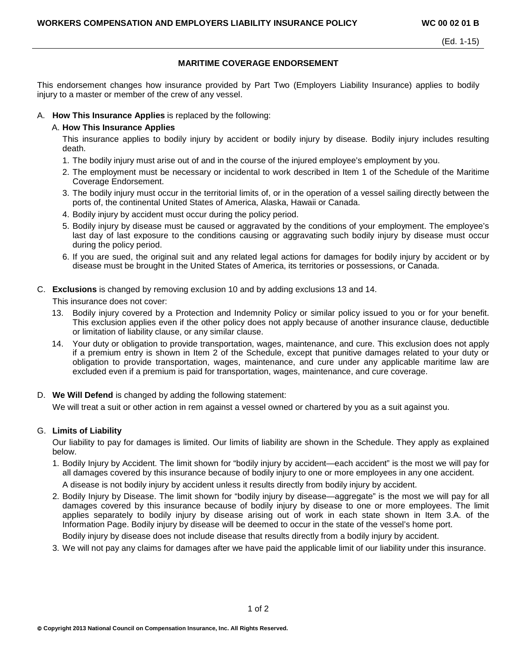## **MARITIME COVERAGE ENDORSEMENT**

This endorsement changes how insurance provided by Part Two (Employers Liability Insurance) applies to bodily injury to a master or member of the crew of any vessel.

## A. **How This Insurance Applies** is replaced by the following:

# A. **How This Insurance Applies**

This insurance applies to bodily injury by accident or bodily injury by disease. Bodily injury includes resulting death.

- 1. The bodily injury must arise out of and in the course of the injured employee's employment by you.
- 2. The employment must be necessary or incidental to work described in Item 1 of the Schedule of the Maritime Coverage Endorsement.
- 3. The bodily injury must occur in the territorial limits of, or in the operation of a vessel sailing directly between the ports of, the continental United States of America, Alaska, Hawaii or Canada.
- 4. Bodily injury by accident must occur during the policy period.
- 5. Bodily injury by disease must be caused or aggravated by the conditions of your employment. The employee's last day of last exposure to the conditions causing or aggravating such bodily injury by disease must occur during the policy period.
- 6. If you are sued, the original suit and any related legal actions for damages for bodily injury by accident or by disease must be brought in the United States of America, its territories or possessions, or Canada.

## C. **Exclusions** is changed by removing exclusion 10 and by adding exclusions 13 and 14.

This insurance does not cover:

- 13. Bodily injury covered by a Protection and Indemnity Policy or similar policy issued to you or for your benefit. This exclusion applies even if the other policy does not apply because of another insurance clause, deductible or limitation of liability clause, or any similar clause.
- 14. Your duty or obligation to provide transportation, wages, maintenance, and cure. This exclusion does not apply if a premium entry is shown in Item 2 of the Schedule, except that punitive damages related to your duty or obligation to provide transportation, wages, maintenance, and cure under any applicable maritime law are excluded even if a premium is paid for transportation, wages, maintenance, and cure coverage.

# D. **We Will Defend** is changed by adding the following statement:

We will treat a suit or other action in rem against a vessel owned or chartered by you as a suit against you.

# G. **Limits of Liability**

Our liability to pay for damages is limited. Our limits of liability are shown in the Schedule. They apply as explained below.

1. Bodily Injury by Accident. The limit shown for "bodily injury by accident—each accident" is the most we will pay for all damages covered by this insurance because of bodily injury to one or more employees in any one accident.

A disease is not bodily injury by accident unless it results directly from bodily injury by accident.

2. Bodily Injury by Disease. The limit shown for "bodily injury by disease—aggregate" is the most we will pay for all damages covered by this insurance because of bodily injury by disease to one or more employees. The limit applies separately to bodily injury by disease arising out of work in each state shown in Item 3.A. of the Information Page. Bodily injury by disease will be deemed to occur in the state of the vessel's home port.

Bodily injury by disease does not include disease that results directly from a bodily injury by accident.

3. We will not pay any claims for damages after we have paid the applicable limit of our liability under this insurance.